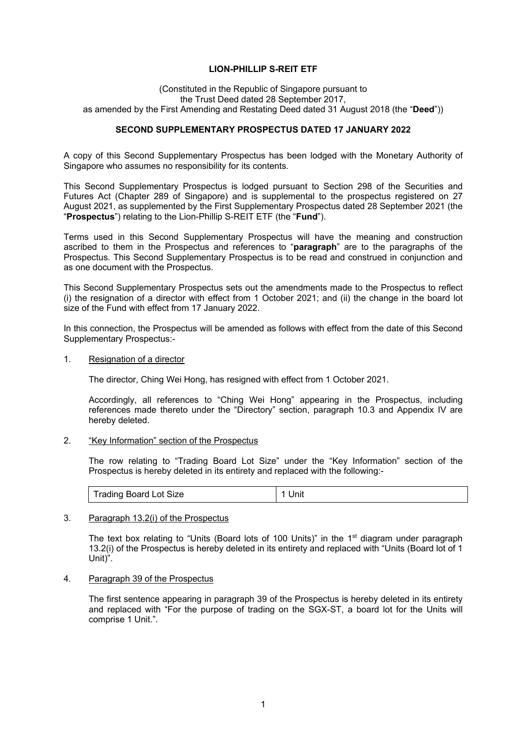# **LION-PHILLIP S-REIT ETF**

(Constituted in the Republic of Singapore pursuant to the Trust Deed dated 28 September 2017, as amended by the First Amending and Restating Deed dated 31 August 2018 (the "**Deed**"))

# **SECOND SUPPLEMENTARY PROSPECTUS DATED 17 JANUARY 2022**

A copy of this Second Supplementary Prospectus has been lodged with the Monetary Authority of Singapore who assumes no responsibility for its contents.

This Second Supplementary Prospectus is lodged pursuant to Section 298 of the Securities and Futures Act (Chapter 289 of Singapore) and is supplemental to the prospectus registered on 27 August 2021, as supplemented by the First Supplementary Prospectus dated 28 September 2021 (the "**Prospectus**") relating to the Lion-Phillip S-REIT ETF (the "**Fund**").

Terms used in this Second Supplementary Prospectus will have the meaning and construction ascribed to them in the Prospectus and references to "**paragraph**" are to the paragraphs of the Prospectus. This Second Supplementary Prospectus is to be read and construed in conjunction and as one document with the Prospectus.

This Second Supplementary Prospectus sets out the amendments made to the Prospectus to reflect (i) the resignation of a director with effect from 1 October 2021; and (ii) the change in the board lot size of the Fund with effect from 17 January 2022.

In this connection, the Prospectus will be amended as follows with effect from the date of this Second Supplementary Prospectus:-

1. Resignation of a director

The director, Ching Wei Hong, has resigned with effect from 1 October 2021.

Accordingly, all references to "Ching Wei Hong" appearing in the Prospectus, including references made thereto under the "Directory" section, paragraph 10.3 and Appendix IV are hereby deleted.

# 2. "Key Information" section of the Prospectus

The row relating to "Trading Board Lot Size" under the "Key Information" section of the Prospectus is hereby deleted in its entirety and replaced with the following:-

|  | <b>Trading Board Lot Size</b> | Jnit |
|--|-------------------------------|------|
|--|-------------------------------|------|

#### 3. Paragraph 13.2(i) of the Prospectus

The text box relating to "Units (Board lots of 100 Units)" in the 1<sup>st</sup> diagram under paragraph 13.2(i) of the Prospectus is hereby deleted in its entirety and replaced with "Units (Board lot of 1 Unit)".

4. Paragraph 39 of the Prospectus

The first sentence appearing in paragraph 39 of the Prospectus is hereby deleted in its entirety and replaced with "For the purpose of trading on the SGX-ST, a board lot for the Units will comprise 1 Unit.".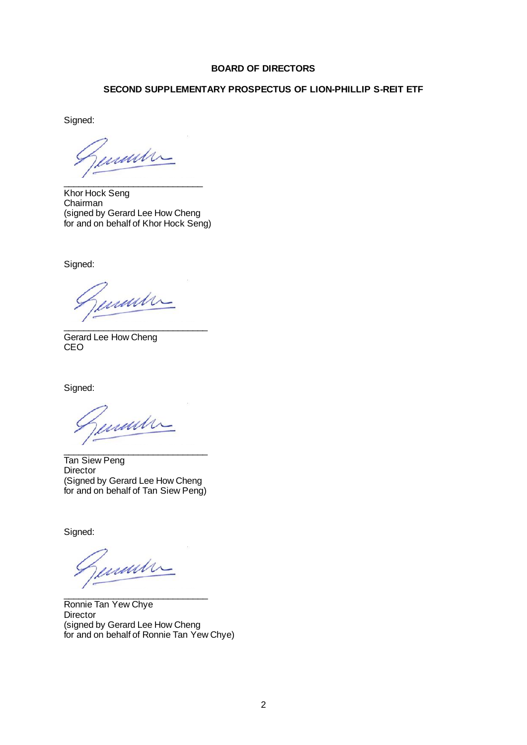# **BOARD OF DIRECTORS**

# **SECOND SUPPLEMENTARY PROSPECTUS OF LION-PHILLIP S-REIT ETF**

Signed:

www

\_\_\_\_\_\_\_\_\_\_\_\_\_\_\_\_\_\_\_\_\_\_\_\_\_\_\_\_ Khor Hock Seng Chairman (signed by Gerard Lee How Cheng for and on behalf of Khor Hock Seng)

Signed:

mun

\_\_\_\_\_\_\_\_\_\_\_\_\_\_\_\_\_\_\_\_\_\_\_\_\_\_\_\_\_ Gerard Lee How Cheng CEO

Signed:

madre \_\_\_\_\_\_\_\_\_\_\_\_\_\_\_\_\_\_\_\_\_\_\_\_\_\_\_\_\_

Tan Siew Peng Director (Signed by Gerard Lee How Cheng for and on behalf of Tan Siew Peng)

Signed:

martin

\_\_\_\_\_\_\_\_\_\_\_\_\_\_\_\_\_\_\_\_\_\_\_\_\_\_\_\_\_ Ronnie Tan Yew Chye **Director** (signed by Gerard Lee How Cheng for and on behalf of Ronnie Tan Yew Chye)